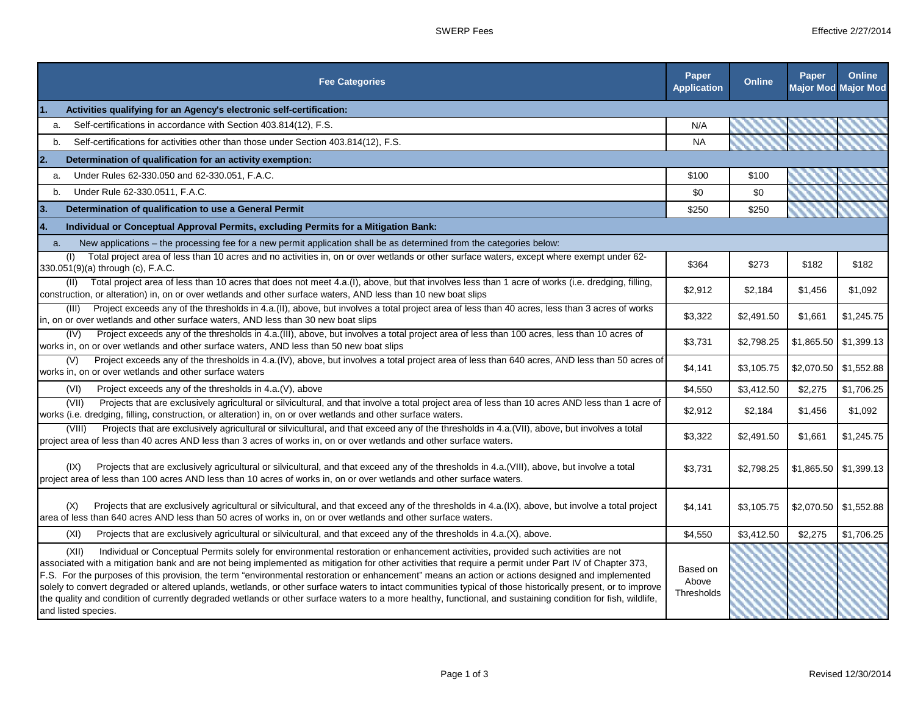|    | <b>Fee Categories</b>                                                                                                                                                                                                                                                                                                                                                                                                                                                                                                                                                                                                                                                                                                                                                                                          | Paper<br><b>Application</b>     | <b>Online</b> | Paper                   | Online<br><b>Major Mod Major Mod</b> |
|----|----------------------------------------------------------------------------------------------------------------------------------------------------------------------------------------------------------------------------------------------------------------------------------------------------------------------------------------------------------------------------------------------------------------------------------------------------------------------------------------------------------------------------------------------------------------------------------------------------------------------------------------------------------------------------------------------------------------------------------------------------------------------------------------------------------------|---------------------------------|---------------|-------------------------|--------------------------------------|
| 1. | Activities qualifying for an Agency's electronic self-certification:                                                                                                                                                                                                                                                                                                                                                                                                                                                                                                                                                                                                                                                                                                                                           |                                 |               |                         |                                      |
| a. | Self-certifications in accordance with Section 403.814(12), F.S.                                                                                                                                                                                                                                                                                                                                                                                                                                                                                                                                                                                                                                                                                                                                               | N/A                             |               |                         |                                      |
| b. | Self-certifications for activities other than those under Section 403.814(12), F.S.                                                                                                                                                                                                                                                                                                                                                                                                                                                                                                                                                                                                                                                                                                                            | <b>NA</b>                       |               |                         |                                      |
| 2. | Determination of qualification for an activity exemption:                                                                                                                                                                                                                                                                                                                                                                                                                                                                                                                                                                                                                                                                                                                                                      |                                 |               |                         |                                      |
| a. | Under Rules 62-330.050 and 62-330.051, F.A.C.                                                                                                                                                                                                                                                                                                                                                                                                                                                                                                                                                                                                                                                                                                                                                                  | \$100                           | \$100         |                         |                                      |
| b. | Under Rule 62-330.0511, F.A.C.                                                                                                                                                                                                                                                                                                                                                                                                                                                                                                                                                                                                                                                                                                                                                                                 | \$0                             | \$0           |                         |                                      |
| 3. | Determination of qualification to use a General Permit                                                                                                                                                                                                                                                                                                                                                                                                                                                                                                                                                                                                                                                                                                                                                         | \$250                           | \$250         |                         |                                      |
| 4. | Individual or Conceptual Approval Permits, excluding Permits for a Mitigation Bank:                                                                                                                                                                                                                                                                                                                                                                                                                                                                                                                                                                                                                                                                                                                            |                                 |               |                         |                                      |
| a. | New applications - the processing fee for a new permit application shall be as determined from the categories below:                                                                                                                                                                                                                                                                                                                                                                                                                                                                                                                                                                                                                                                                                           |                                 |               |                         |                                      |
|    | Total project area of less than 10 acres and no activities in, on or over wetlands or other surface waters, except where exempt under 62-<br>(1)<br>330.051(9)(a) through (c), F.A.C.                                                                                                                                                                                                                                                                                                                                                                                                                                                                                                                                                                                                                          | \$364                           | \$273         | \$182                   | \$182                                |
|    | Total project area of less than 10 acres that does not meet 4.a.(I), above, but that involves less than 1 acre of works (i.e. dredging, filling,<br>(11)<br>construction, or alteration) in, on or over wetlands and other surface waters, AND less than 10 new boat slips                                                                                                                                                                                                                                                                                                                                                                                                                                                                                                                                     | \$2,912                         | \$2,184       | \$1,456                 | \$1,092                              |
|    | Project exceeds any of the thresholds in 4.a.(II), above, but involves a total project area of less than 40 acres, less than 3 acres of works<br>(III)<br>in, on or over wetlands and other surface waters, AND less than 30 new boat slips                                                                                                                                                                                                                                                                                                                                                                                                                                                                                                                                                                    | \$3,322                         | \$2,491.50    | \$1,661                 | \$1,245.75                           |
|    | Project exceeds any of the thresholds in 4.a. (III), above, but involves a total project area of less than 100 acres, less than 10 acres of<br>(IV)<br>works in, on or over wetlands and other surface waters, AND less than 50 new boat slips                                                                                                                                                                                                                                                                                                                                                                                                                                                                                                                                                                 | \$3,731                         | \$2,798.25    | \$1,865.50              | \$1,399.13                           |
|    | Project exceeds any of the thresholds in 4.a.(IV), above, but involves a total project area of less than 640 acres, AND less than 50 acres of<br>(V)<br>works in, on or over wetlands and other surface waters                                                                                                                                                                                                                                                                                                                                                                                                                                                                                                                                                                                                 | \$4,141                         | \$3,105.75    | \$2,070.50 \$1,552.88   |                                      |
|    | (VI)<br>Project exceeds any of the thresholds in 4.a. (V), above                                                                                                                                                                                                                                                                                                                                                                                                                                                                                                                                                                                                                                                                                                                                               | \$4,550                         | \$3,412.50    | \$2,275                 | \$1,706.25                           |
|    | Projects that are exclusively agricultural or silvicultural, and that involve a total project area of less than 10 acres AND less than 1 acre of<br>(VII)<br>works (i.e. dredging, filling, construction, or alteration) in, on or over wetlands and other surface waters.                                                                                                                                                                                                                                                                                                                                                                                                                                                                                                                                     | \$2,912                         | \$2,184       | \$1,456                 | \$1,092                              |
|    | Projects that are exclusively agricultural or silvicultural, and that exceed any of the thresholds in 4.a.(VII), above, but involves a total<br>(VIII)<br>project area of less than 40 acres AND less than 3 acres of works in, on or over wetlands and other surface waters.                                                                                                                                                                                                                                                                                                                                                                                                                                                                                                                                  | \$3,322                         | \$2,491.50    | \$1,661                 | \$1,245.75                           |
|    | Projects that are exclusively agricultural or silvicultural, and that exceed any of the thresholds in 4.a. (VIII), above, but involve a total<br>(IX)<br>project area of less than 100 acres AND less than 10 acres of works in, on or over wetlands and other surface waters.                                                                                                                                                                                                                                                                                                                                                                                                                                                                                                                                 | \$3,731                         | \$2,798.25    | $$1,865.50$ $$1,399.13$ |                                      |
|    | Projects that are exclusively agricultural or silvicultural, and that exceed any of the thresholds in 4.a.(IX), above, but involve a total project<br>(X)<br>area of less than 640 acres AND less than 50 acres of works in, on or over wetlands and other surface waters.                                                                                                                                                                                                                                                                                                                                                                                                                                                                                                                                     | \$4,141                         | \$3,105.75    | \$2,070.50 \$1,552.88   |                                      |
|    | (XI)<br>Projects that are exclusively agricultural or silvicultural, and that exceed any of the thresholds in 4.a.(X), above.                                                                                                                                                                                                                                                                                                                                                                                                                                                                                                                                                                                                                                                                                  | \$4,550                         | \$3,412.50    | \$2,275                 | \$1,706.25                           |
|    | (XII)<br>Individual or Conceptual Permits solely for environmental restoration or enhancement activities, provided such activities are not<br>associated with a mitigation bank and are not being implemented as mitigation for other activities that require a permit under Part IV of Chapter 373,<br>F.S. For the purposes of this provision, the term "environmental restoration or enhancement" means an action or actions designed and implemented<br>solely to convert degraded or altered uplands, wetlands, or other surface waters to intact communities typical of those historically present, or to improve<br>the quality and condition of currently degraded wetlands or other surface waters to a more healthy, functional, and sustaining condition for fish, wildlife,<br>and listed species. | Based on<br>Above<br>Thresholds |               |                         |                                      |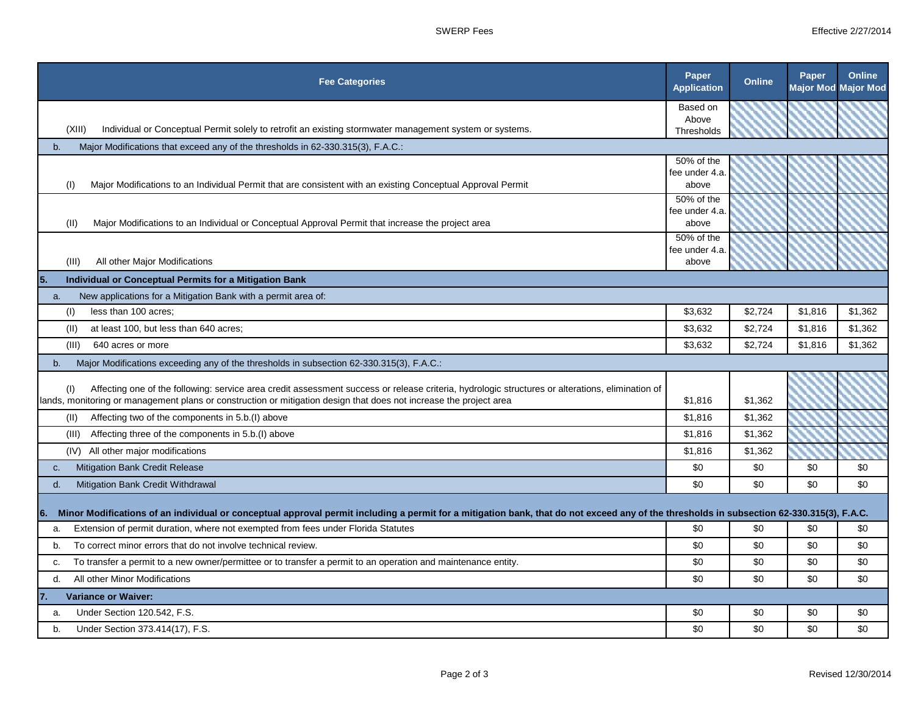| <b>Fee Categories</b>                                                                                                                                                                                                                                                         | Paper<br><b>Application</b> | <b>Online</b> | Paper   | Online<br><b>Major Mod Major Mod</b> |
|-------------------------------------------------------------------------------------------------------------------------------------------------------------------------------------------------------------------------------------------------------------------------------|-----------------------------|---------------|---------|--------------------------------------|
|                                                                                                                                                                                                                                                                               | Based on                    |               |         |                                      |
| (XIII)<br>Individual or Conceptual Permit solely to retrofit an existing stormwater management system or systems.                                                                                                                                                             | Above                       |               |         |                                      |
|                                                                                                                                                                                                                                                                               | Thresholds                  |               |         |                                      |
| Major Modifications that exceed any of the thresholds in 62-330.315(3), F.A.C.:<br>b.                                                                                                                                                                                         | 50% of the                  |               |         |                                      |
|                                                                                                                                                                                                                                                                               | fee under 4.a.              |               |         |                                      |
| Major Modifications to an Individual Permit that are consistent with an existing Conceptual Approval Permit<br>(1)                                                                                                                                                            | above                       |               |         |                                      |
|                                                                                                                                                                                                                                                                               | 50% of the                  |               |         |                                      |
|                                                                                                                                                                                                                                                                               | fee under 4.a.              |               |         |                                      |
| Major Modifications to an Individual or Conceptual Approval Permit that increase the project area<br>(II)                                                                                                                                                                     | above                       |               |         |                                      |
|                                                                                                                                                                                                                                                                               | 50% of the                  |               |         |                                      |
| All other Major Modifications<br>(III)                                                                                                                                                                                                                                        | fee under 4.a.<br>above     |               |         |                                      |
| Individual or Conceptual Permits for a Mitigation Bank                                                                                                                                                                                                                        |                             |               |         |                                      |
| 15.                                                                                                                                                                                                                                                                           |                             |               |         |                                      |
| New applications for a Mitigation Bank with a permit area of:<br>a.                                                                                                                                                                                                           |                             |               |         |                                      |
| less than 100 acres;<br>(1)                                                                                                                                                                                                                                                   | \$3,632                     | \$2,724       | \$1,816 | \$1,362                              |
| at least 100, but less than 640 acres;<br>(II)                                                                                                                                                                                                                                | \$3,632                     | \$2,724       | \$1,816 | \$1,362                              |
| (III)<br>640 acres or more                                                                                                                                                                                                                                                    | \$3.632                     | \$2,724       | \$1.816 | \$1,362                              |
| Major Modifications exceeding any of the thresholds in subsection 62-330.315(3), F.A.C.:<br>b.                                                                                                                                                                                |                             |               |         |                                      |
| (1)<br>Affecting one of the following: service area credit assessment success or release criteria, hydrologic structures or alterations, elimination of<br>lands, monitoring or management plans or construction or mitigation design that does not increase the project area | \$1,816                     | \$1,362       |         |                                      |
| Affecting two of the components in 5.b.(I) above<br>(II)                                                                                                                                                                                                                      | \$1,816                     | \$1,362       |         |                                      |
| Affecting three of the components in 5.b. (I) above<br>(III)                                                                                                                                                                                                                  | \$1,816                     | \$1,362       |         |                                      |
| (IV) All other major modifications                                                                                                                                                                                                                                            | \$1,816                     | \$1,362       |         |                                      |
| <b>Mitigation Bank Credit Release</b><br>C.                                                                                                                                                                                                                                   | \$0                         | \$0           | \$0     | \$0                                  |
| Mitigation Bank Credit Withdrawal<br>d.                                                                                                                                                                                                                                       | \$0                         | \$0           | \$0     | \$0                                  |
| Minor Modifications of an individual or conceptual approval permit including a permit for a mitigation bank, that do not exceed any of the thresholds in subsection 62-330.315(3), F.A.C.<br>16.                                                                              |                             |               |         |                                      |
| Extension of permit duration, where not exempted from fees under Florida Statutes<br>a.                                                                                                                                                                                       | \$0                         | \$0           | \$0     | \$0                                  |
| To correct minor errors that do not involve technical review.<br>b.                                                                                                                                                                                                           | \$0                         | \$0           | \$0     | \$0                                  |
| To transfer a permit to a new owner/permittee or to transfer a permit to an operation and maintenance entity.<br>c.                                                                                                                                                           | \$0                         | \$0           | \$0     | \$0                                  |
| All other Minor Modifications<br>d.                                                                                                                                                                                                                                           | \$0                         | \$0           | \$0     | \$0                                  |
| <b>Variance or Waiver:</b><br>17.                                                                                                                                                                                                                                             |                             |               |         |                                      |
| Under Section 120.542, F.S.<br>a.                                                                                                                                                                                                                                             | \$0                         | \$0           | \$0     | \$0                                  |
| Under Section 373.414(17), F.S.<br>b.                                                                                                                                                                                                                                         | \$0                         | \$0           | \$0     | \$0                                  |